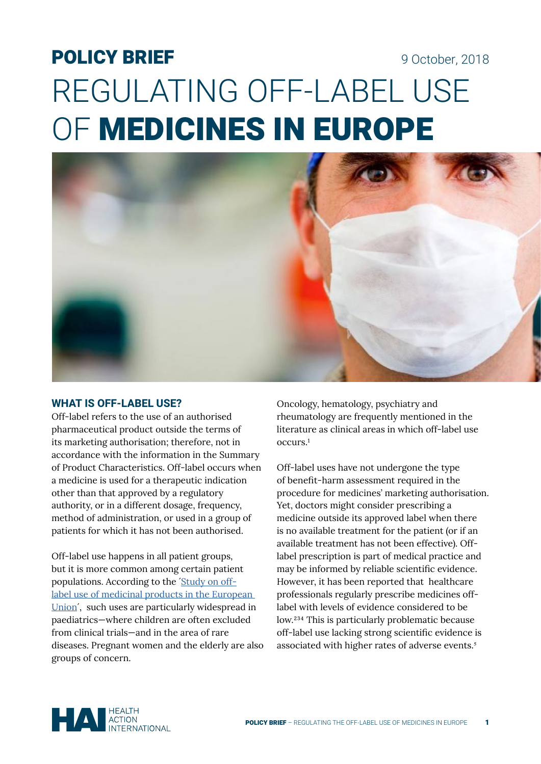# POLICY BRIEF 9 October, 2018 REGULATING OFF-LABEL USE OF MEDICINES IN EUROPE



#### **WHAT IS OFF-LABEL USE?**

Off-label refers to the use of an authorised pharmaceutical product outside the terms of its marketing authorisation; therefore, not in accordance with the information in the Summary of Product Characteristics. Off-label occurs when a medicine is used for a therapeutic indication other than that approved by a regulatory authority, or in a different dosage, frequency, method of administration, or used in a group of patients for which it has not been authorised.

Off-label use happens in all patient groups, but it is more common among certain patient populations. According to the [´Study on off](https://ec.europa.eu/health/sites/health/files/files/documents/2017_02_28_final_study_report_on_off-label_use_.pdf)[label use of medicinal products in the European](https://ec.europa.eu/health/sites/health/files/files/documents/2017_02_28_final_study_report_on_off-label_use_.pdf)  [Union](https://ec.europa.eu/health/sites/health/files/files/documents/2017_02_28_final_study_report_on_off-label_use_.pdf)´, such uses are particularly widespread in paediatrics—where children are often excluded from clinical trials—and in the area of rare diseases. Pregnant women and the elderly are also groups of concern.

Oncology, hematology, psychiatry and rheumatology are frequently mentioned in the literature as clinical areas in which off-label use occurs.<sup>1</sup>

Off-label uses have not undergone the type of benefit-harm assessment required in the procedure for medicines' marketing authorisation. Yet, doctors might consider prescribing a medicine outside its approved label when there is no available treatment for the patient (or if an available treatment has not been effective). Offlabel prescription is part of medical practice and may be informed by reliable scientific evidence. However, it has been reported that healthcare professionals regularly prescribe medicines offlabel with levels of evidence considered to be low.<sup>234</sup> This is particularly problematic because off-label use lacking strong scientific evidence is associated with higher rates of adverse events.<sup>5</sup>

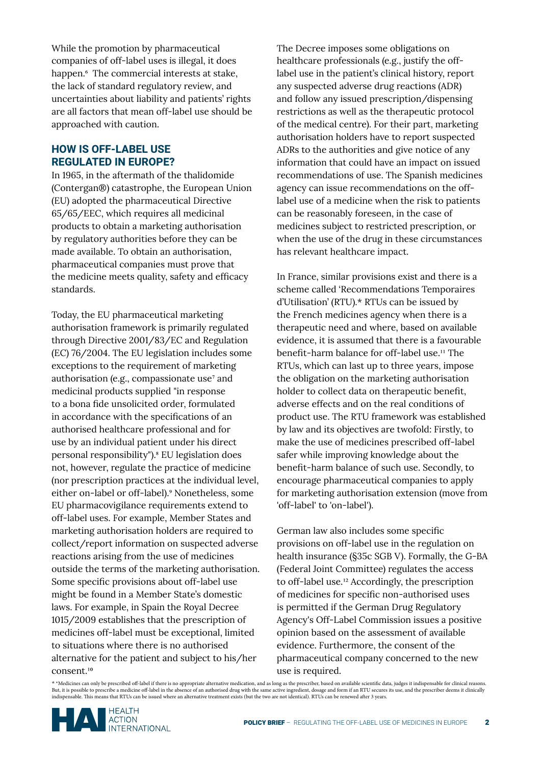While the promotion by pharmaceutical companies of off-label uses is illegal, it does happen.<sup>6</sup> The commercial interests at stake, the lack of standard regulatory review, and uncertainties about liability and patients' rights are all factors that mean off-label use should be approached with caution.

## **HOW IS OFF-LABEL USE REGULATED IN EUROPE?**

In 1965, in the aftermath of the thalidomide (Contergan®) catastrophe, the European Union (EU) adopted the pharmaceutical Directive 65/65/EEC, which requires all medicinal products to obtain a marketing authorisation by regulatory authorities before they can be made available. To obtain an authorisation, pharmaceutical companies must prove that the medicine meets quality, safety and efficacy standards.

Today, the EU pharmaceutical marketing authorisation framework is primarily regulated through Directive 2001/83/EC and Regulation (EC) 76/2004. The EU legislation includes some exceptions to the requirement of marketing authorisation (e.g., compassionate use<sup>7</sup> and medicinal products supplied "in response to a bona fide unsolicited order, formulated in accordance with the specifications of an authorised healthcare professional and for use by an individual patient under his direct personal responsibility").⁸ EU legislation does not, however, regulate the practice of medicine (nor prescription practices at the individual level, either on-label or off-label).<sup>9</sup> Nonetheless, some EU pharmacovigilance requirements extend to off-label uses. For example, Member States and marketing authorisation holders are required to collect/report information on suspected adverse reactions arising from the use of medicines outside the terms of the marketing authorisation. Some specific provisions about off-label use might be found in a Member State's domestic laws. For example, in Spain the Royal Decree 1015/2009 establishes that the prescription of medicines off-label must be exceptional, limited to situations where there is no authorised alternative for the patient and subject to his/her consent.<sup>10</sup>

The Decree imposes some obligations on healthcare professionals (e.g., justify the offlabel use in the patient's clinical history, report any suspected adverse drug reactions (ADR) and follow any issued prescription/dispensing restrictions as well as the therapeutic protocol of the medical centre). For their part, marketing authorisation holders have to report suspected ADRs to the authorities and give notice of any information that could have an impact on issued recommendations of use. The Spanish medicines agency can issue recommendations on the offlabel use of a medicine when the risk to patients can be reasonably foreseen, in the case of medicines subject to restricted prescription, or when the use of the drug in these circumstances has relevant healthcare impact.

In France, similar provisions exist and there is a scheme called 'Recommendations Temporaires d'Utilisation' (RTU).\* RTUs can be issued by the French medicines agency when there is a therapeutic need and where, based on available evidence, it is assumed that there is a favourable benefit-harm balance for off-label use.<sup>11</sup> The RTUs, which can last up to three years, impose the obligation on the marketing authorisation holder to collect data on therapeutic benefit, adverse effects and on the real conditions of product use. The RTU framework was established by law and its objectives are twofold: Firstly, to make the use of medicines prescribed off-label safer while improving knowledge about the benefit-harm balance of such use. Secondly, to encourage pharmaceutical companies to apply for marketing authorisation extension (move from 'off-label' to 'on-label').

German law also includes some specific provisions on off-label use in the regulation on health insurance (§35c SGB V). Formally, the G-BA (Federal Joint Committee) regulates the access to off-label use.<sup>12</sup> Accordingly, the prescription of medicines for specific non-authorised uses is permitted if the German Drug Regulatory Agency's Off-Label Commission issues a positive opinion based on the assessment of available evidence. Furthermore, the consent of the pharmaceutical company concerned to the new use is required.

\* \*Medicines can only be prescribed off-label if there is no appropriate alternative medication, and as long as the prescriber, based on available scientific data, judges it indispensable for clinical reasons.<br>But, it is p indispensable. This means that RTUs can be issued where an alternative treatment exists (but the two are not identical). RTUs can be renewed after 3 years.

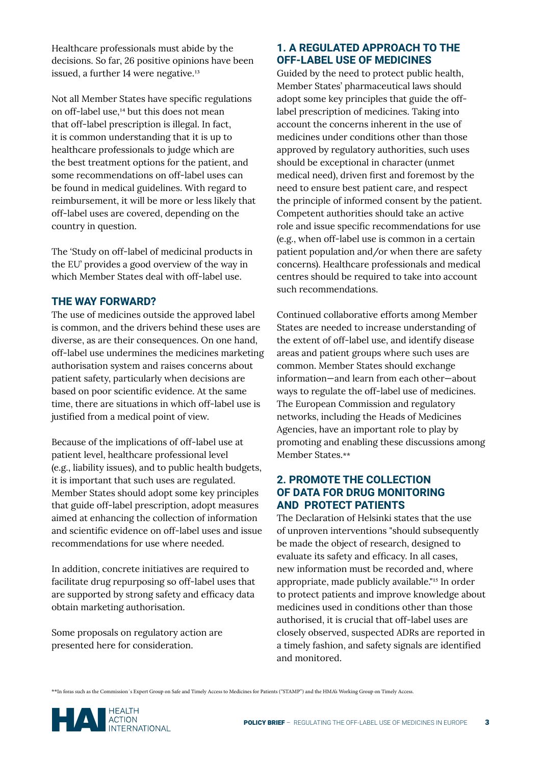Healthcare professionals must abide by the decisions. So far, 26 positive opinions have been issued, a further 14 were negative.<sup>13</sup>

Not all Member States have specific regulations on off-label use,<sup>14</sup> but this does not mean that off-label prescription is illegal. In fact, it is common understanding that it is up to healthcare professionals to judge which are the best treatment options for the patient, and some recommendations on off-label uses can be found in medical guidelines. With regard to reimbursement, it will be more or less likely that off-label uses are covered, depending on the country in question.

The 'Study on off-label of medicinal products in the EU' provides a good overview of the way in which Member States deal with off-label use.

#### **THE WAY FORWARD?**

The use of medicines outside the approved label is common, and the drivers behind these uses are diverse, as are their consequences. On one hand, off-label use undermines the medicines marketing authorisation system and raises concerns about patient safety, particularly when decisions are based on poor scientific evidence. At the same time, there are situations in which off-label use is justified from a medical point of view.

Because of the implications of off-label use at patient level, healthcare professional level (e.g., liability issues), and to public health budgets, it is important that such uses are regulated. Member States should adopt some key principles that guide off-label prescription, adopt measures aimed at enhancing the collection of information and scientific evidence on off-label uses and issue recommendations for use where needed.

In addition, concrete initiatives are required to facilitate drug repurposing so off-label uses that are supported by strong safety and efficacy data obtain marketing authorisation.

Some proposals on regulatory action are presented here for consideration.

## **1. A REGULATED APPROACH TO THE OFF-LABEL USE OF MEDICINES**

Guided by the need to protect public health, Member States' pharmaceutical laws should adopt some key principles that guide the offlabel prescription of medicines. Taking into account the concerns inherent in the use of medicines under conditions other than those approved by regulatory authorities, such uses should be exceptional in character (unmet medical need), driven first and foremost by the need to ensure best patient care, and respect the principle of informed consent by the patient. Competent authorities should take an active role and issue specific recommendations for use (e.g., when off-label use is common in a certain patient population and/or when there are safety concerns). Healthcare professionals and medical centres should be required to take into account such recommendations.

Continued collaborative efforts among Member States are needed to increase understanding of the extent of off-label use, and identify disease areas and patient groups where such uses are common. Member States should exchange information—and learn from each other—about ways to regulate the off-label use of medicines. The European Commission and regulatory networks, including the Heads of Medicines Agencies, have an important role to play by promoting and enabling these discussions among Member States.\*\*

## **2. PROMOTE THE COLLECTION OF DATA FOR DRUG MONITORING AND PROTECT PATIENTS**

The Declaration of Helsinki states that the use of unproven interventions "should subsequently be made the object of research, designed to evaluate its safety and efficacy. In all cases, new information must be recorded and, where appropriate, made publicly available."15 In order to protect patients and improve knowledge about medicines used in conditions other than those authorised, it is crucial that off-label uses are closely observed, suspected ADRs are reported in a timely fashion, and safety signals are identified and monitored.

\*\*In foras such as the Commission´s Expert Group on Safe and Timely Access to Medicines for Patients ("STAMP") and the HMA's Working Group on Timely Access.

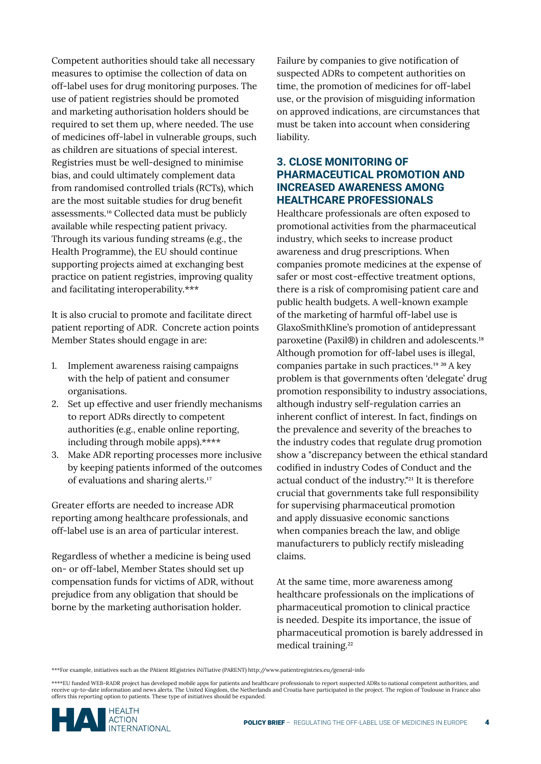Competent authorities should take all necessary measures to optimise the collection of data on off-label uses for drug monitoring purposes. The use of patient registries should be promoted and marketing authorisation holders should be required to set them up, where needed. The use of medicines off-label in vulnerable groups, such as children are situations of special interest. Registries must be well-designed to minimise bias, and could ultimately complement data from randomised controlled trials (RCTs), which are the most suitable studies for drug benefit assessments.<sup>16</sup> Collected data must be publicly available while respecting patient privacy. Through its various funding streams (e.g., the Health Programme), the EU should continue supporting projects aimed at exchanging best practice on patient registries, improving quality and facilitating interoperability.\*\*\*

It is also crucial to promote and facilitate direct patient reporting of ADR. Concrete action points Member States should engage in are:

- 1. Implement awareness raising campaigns with the help of patient and consumer organisations.
- 2. Set up effective and user friendly mechanisms to report ADRs directly to competent authorities (e.g., enable online reporting, including through mobile apps).\*\*\*\*
- 3. Make ADR reporting processes more inclusive by keeping patients informed of the outcomes of evaluations and sharing alerts.<sup>17</sup>

Greater efforts are needed to increase ADR reporting among healthcare professionals, and off-label use is an area of particular interest.

Regardless of whether a medicine is being used on- or off-label, Member States should set up compensation funds for victims of ADR, without prejudice from any obligation that should be borne by the marketing authorisation holder.

Failure by companies to give notification of suspected ADRs to competent authorities on time, the promotion of medicines for off-label use, or the provision of misguiding information on approved indications, are circumstances that must be taken into account when considering liability.

### **3. CLOSE MONITORING OF PHARMACEUTICAL PROMOTION AND INCREASED AWARENESS AMONG HEALTHCARE PROFESSIONALS**

Healthcare professionals are often exposed to promotional activities from the pharmaceutical industry, which seeks to increase product awareness and drug prescriptions. When companies promote medicines at the expense of safer or most cost-effective treatment options, there is a risk of compromising patient care and public health budgets. A well-known example of the marketing of harmful off-label use is GlaxoSmithKline's promotion of antidepressant paroxetine (Paxil®) in children and adolescents.<sup>18</sup> Although promotion for off-label uses is illegal, companies partake in such practices.<sup>19</sup> <sup>20</sup> A key problem is that governments often 'delegate' drug promotion responsibility to industry associations, although industry self-regulation carries an inherent conflict of interest. In fact, findings on the prevalence and severity of the breaches to the industry codes that regulate drug promotion show a "discrepancy between the ethical standard codified in industry Codes of Conduct and the actual conduct of the industry."²1 It is therefore crucial that governments take full responsibility for supervising pharmaceutical promotion and apply dissuasive economic sanctions when companies breach the law, and oblige manufacturers to publicly rectify misleading claims.

At the same time, more awareness among healthcare professionals on the implications of pharmaceutical promotion to clinical practice is needed. Despite its importance, the issue of pharmaceutical promotion is barely addressed in medical training.²²

\*\*\*For example, initiatives such as the PAtient REgistries iNiTiative (PARENT) http://www.patientregistries.eu/general-info

\*\*\*\*EU funded WEB-RADR project has developed mobile apps for patients and healthcare professionals to report suspected ADRs to national competent authorities, and receive up-to-date information and news alerts. The United Kingdom, the Netherlands and Croatia have participated in the project. The region of Toulouse in France also offers this reporting option to patients. These type of initiatives should be expanded.

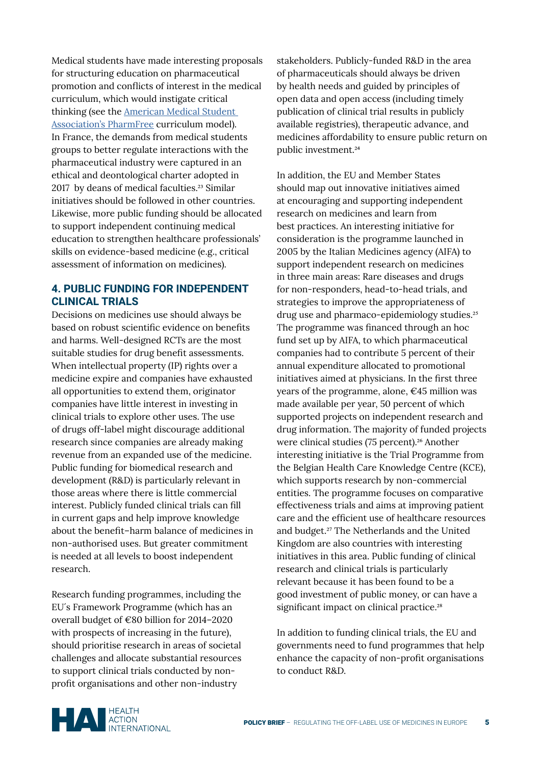Medical students have made interesting proposals for structuring education on pharmaceutical promotion and conflicts of interest in the medical curriculum, which would instigate critical thinking (see the [American Medical Student](http://www.amsa.org/wp-content/uploads/2015/03/ModelPharmFreeCurriculum1.pdf)  [Association's PharmFree](http://www.amsa.org/wp-content/uploads/2015/03/ModelPharmFreeCurriculum1.pdf) curriculum model). In France, the demands from medical students groups to better regulate interactions with the pharmaceutical industry were captured in an ethical and deontological charter adopted in 2017 by deans of medical faculties.<sup>23</sup> Similar initiatives should be followed in other countries. Likewise, more public funding should be allocated to support independent continuing medical education to strengthen healthcare professionals' skills on evidence-based medicine (e.g., critical assessment of information on medicines).

## **4. PUBLIC FUNDING FOR INDEPENDENT CLINICAL TRIALS**

Decisions on medicines use should always be based on robust scientific evidence on benefits and harms. Well-designed RCTs are the most suitable studies for drug benefit assessments. When intellectual property (IP) rights over a medicine expire and companies have exhausted all opportunities to extend them, originator companies have little interest in investing in clinical trials to explore other uses. The use of drugs off-label might discourage additional research since companies are already making revenue from an expanded use of the medicine. Public funding for biomedical research and development (R&D) is particularly relevant in those areas where there is little commercial interest. Publicly funded clinical trials can fill in current gaps and help improve knowledge about the benefit–harm balance of medicines in non-authorised uses. But greater commitment is needed at all levels to boost independent research.

Research funding programmes, including the EU´s Framework Programme (which has an overall budget of €80 billion for 2014–2020 with prospects of increasing in the future), should prioritise research in areas of societal challenges and allocate substantial resources to support clinical trials conducted by nonprofit organisations and other non-industry

stakeholders. Publicly-funded R&D in the area of pharmaceuticals should always be driven by health needs and guided by principles of open data and open access (including timely publication of clinical trial results in publicly available registries), therapeutic advance, and medicines affordability to ensure public return on public investment.²4

In addition, the EU and Member States should map out innovative initiatives aimed at encouraging and supporting independent research on medicines and learn from best practices. An interesting initiative for consideration is the programme launched in 2005 by the Italian Medicines agency (AIFA) to support independent research on medicines in three main areas: Rare diseases and drugs for non-responders, head-to-head trials, and strategies to improve the appropriateness of drug use and pharmaco-epidemiology studies.²5 The programme was financed through an hoc fund set up by AIFA, to which pharmaceutical companies had to contribute 5 percent of their annual expenditure allocated to promotional initiatives aimed at physicians. In the first three years of the programme, alone,  $\epsilon$ 45 million was made available per year, 50 percent of which supported projects on independent research and drug information. The majority of funded projects were clinical studies (75 percent).²6 Another interesting initiative is the Trial Programme from the Belgian Health Care Knowledge Centre (KCE), which supports research by non-commercial entities. The programme focuses on comparative effectiveness trials and aims at improving patient care and the efficient use of healthcare resources and budget.²7 The Netherlands and the United Kingdom are also countries with interesting initiatives in this area. Public funding of clinical research and clinical trials is particularly relevant because it has been found to be a good investment of public money, or can have a significant impact on clinical practice.<sup>28</sup>

In addition to funding clinical trials, the EU and governments need to fund programmes that help enhance the capacity of non-profit organisations to conduct R&D.

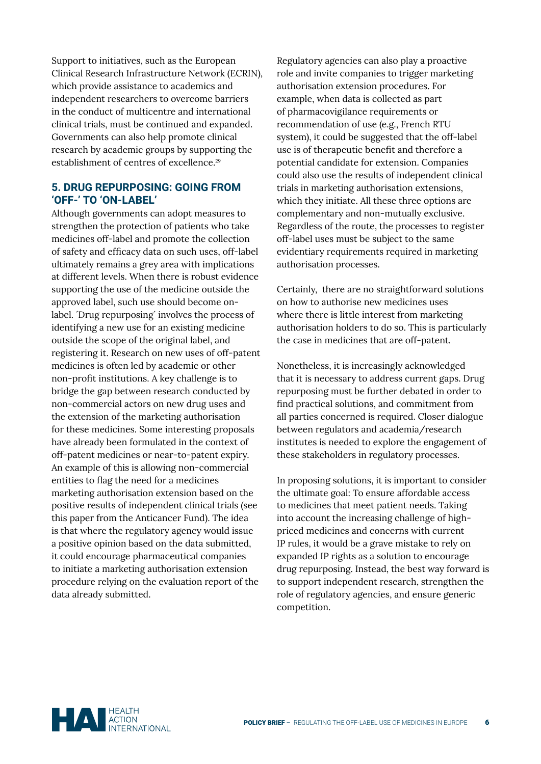Support to initiatives, such as the European Clinical Research Infrastructure Network (ECRIN), which provide assistance to academics and independent researchers to overcome barriers in the conduct of multicentre and international clinical trials, must be continued and expanded. Governments can also help promote clinical research by academic groups by supporting the establishment of centres of excellence.<sup>29</sup>

#### **5. DRUG REPURPOSING: GOING FROM 'OFF-' TO 'ON-LABEL'**

Although governments can adopt measures to strengthen the protection of patients who take medicines off-label and promote the collection of safety and efficacy data on such uses, off-label ultimately remains a grey area with implications at different levels. When there is robust evidence supporting the use of the medicine outside the approved label, such use should become onlabel. *Drug repurposing* involves the process of identifying a new use for an existing medicine outside the scope of the original label, and registering it. Research on new uses of off-patent medicines is often led by academic or other non-profit institutions. A key challenge is to bridge the gap between research conducted by non-commercial actors on new drug uses and the extension of the marketing authorisation for these medicines. Some interesting proposals have already been formulated in the context of off-patent medicines or near-to-patent expiry. An example of this is allowing non-commercial entities to flag the need for a medicines marketing authorisation extension based on the positive results of independent clinical trials (see [this paper from the Anticancer Fund\).](https://www.anticancerfund.org/sites/default/files/attachments/policy_paper_on_repurposing.pdf) The idea is that where the regulatory agency would issue a positive opinion based on the data submitted, it could encourage pharmaceutical companies to initiate a marketing authorisation extension procedure relying on the evaluation report of the data already submitted.

Regulatory agencies can also play a proactive role and invite companies to trigger marketing authorisation extension procedures. For example, when data is collected as part of pharmacovigilance requirements or recommendation of use (e.g., French RTU system), it could be suggested that the off-label use is of therapeutic benefit and therefore a potential candidate for extension. Companies could also use the results of independent clinical trials in marketing authorisation extensions, which they initiate. All these three options are complementary and non-mutually exclusive. Regardless of the route, the processes to register off-label uses must be subject to the same evidentiary requirements required in marketing authorisation processes.

Certainly, there are no straightforward solutions on how to authorise new medicines uses where there is little interest from marketing authorisation holders to do so. This is particularly the case in medicines that are off-patent.

Nonetheless, it is increasingly acknowledged that it is necessary to address current gaps. Drug repurposing must be further debated in order to find practical solutions, and commitment from all parties concerned is required. Closer dialogue between regulators and academia/research institutes is needed to explore the engagement of these stakeholders in regulatory processes.

In proposing solutions, it is important to consider the ultimate goal: To ensure affordable access to medicines that meet patient needs. Taking into account the increasing challenge of highpriced medicines and concerns with current IP rules, it would be a grave mistake to rely on expanded IP rights as a solution to encourage drug repurposing. Instead, the best way forward is to support independent research, strengthen the role of regulatory agencies, and ensure generic competition.

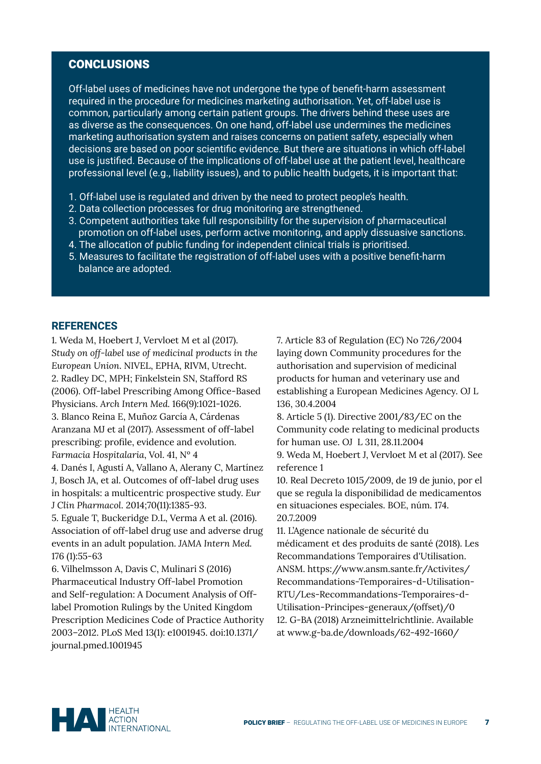# CONCLUSIONS

Off-label uses of medicines have not undergone the type of benefit-harm assessment required in the procedure for medicines marketing authorisation. Yet, off-label use is common, particularly among certain patient groups. The drivers behind these uses are as diverse as the consequences. On one hand, off-label use undermines the medicines marketing authorisation system and raises concerns on patient safety, especially when decisions are based on poor scientific evidence. But there are situations in which off-label use is justified. Because of the implications of off-label use at the patient level, healthcare professional level (e.g., liability issues), and to public health budgets, it is important that:

- 1. Off-label use is regulated and driven by the need to protect people's health.
- 2. Data collection processes for drug monitoring are strengthened.
- 3. Competent authorities take full responsibility for the supervision of pharmaceutical promotion on off-label uses, perform active monitoring, and apply dissuasive sanctions.
- 4. The allocation of public funding for independent clinical trials is prioritised.
- 5. Measures to facilitate the registration of off-label uses with a positive benefit-harm balance are adopted.

#### **REFERENCES**

1. Weda M, Hoebert J, Vervloet M et al (2017). *Study on off-label use of medicinal products in the European Union*. NIVEL, EPHA, RIVM, Utrecht. 2. Radley DC, MPH; Finkelstein SN, Stafford RS (2006). Off-label Prescribing Among Office-Based Physicians. *Arch Intern Med.* 166(9):1021-1026. 3. Blanco Reina E, Muñoz García A, Cárdenas Aranzana MJ et al (2017). Assessment of off-label prescribing: profile, evidence and evolution. *Farmacia Hospitalaria*, Vol. 41, Nº 4

4. Danés I, Agustí A, Vallano A, Alerany C, Martínez J, Bosch JA, et al. Outcomes of off-label drug uses in hospitals: a multicentric prospective study. *Eur J Clin Pharmacol*. 2014;70(11):1385-93.

5. Eguale T, Buckeridge D.L, Verma A et al. (2016). Association of off-label drug use and adverse drug events in an adult population. *JAMA Intern Med.*  176 (1):55-63

6. Vilhelmsson A, Davis C, Mulinari S (2016) Pharmaceutical Industry Off-label Promotion and Self-regulation: A Document Analysis of Offlabel Promotion Rulings by the United Kingdom Prescription Medicines Code of Practice Authority 2003–2012. PLoS Med 13(1): e1001945. doi:10.1371/ journal.pmed.1001945

7. Article 83 of Regulation (EC) No 726/2004 laying down Community procedures for the authorisation and supervision of medicinal products for human and veterinary use and establishing a European Medicines Agency. OJ L 136, 30.4.2004

8. Article 5 (1). Directive 2001/83/EC on the Community code relating to medicinal products for human use. OJ L 311, 28.11.2004

9. Weda M, Hoebert J, Vervloet M et al (2017). See reference 1

10. Real Decreto 1015/2009, de 19 de junio, por el que se regula la disponibilidad de medicamentos en situaciones especiales. BOE, núm. 174. 20.7.2009

11. L'Agence nationale de sécurité du médicament et des produits de santé (2018). Les Recommandations Temporaires d'Utilisation. ANSM. https://www.ansm.sante.fr/Activites/ Recommandations-Temporaires-d-Utilisation-RTU/Les-Recommandations-Temporaires-d-Utilisation-Principes-generaux/(offset)/0 12. G-BA (2018) Arzneimittelrichtlinie. Available at www.g-ba.de/downloads/62-492-1660/